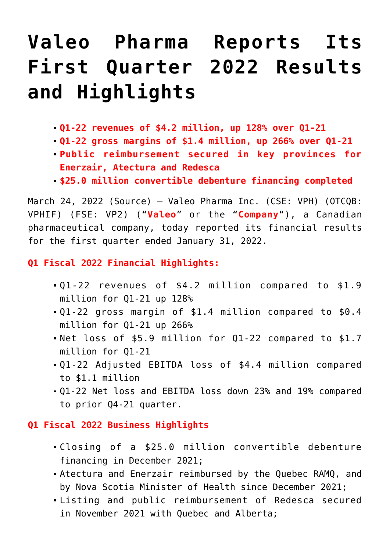# **[Valeo Pharma Reports Its](https://investorintel.com/markets/biotech-healthcare/biotech-news/valeo-pharma-reports-its-first-quarter-2022-results-and-highlights/) [First Quarter 2022 Results](https://investorintel.com/markets/biotech-healthcare/biotech-news/valeo-pharma-reports-its-first-quarter-2022-results-and-highlights/) [and Highlights](https://investorintel.com/markets/biotech-healthcare/biotech-news/valeo-pharma-reports-its-first-quarter-2022-results-and-highlights/)**

- **Q1-22 revenues of \$4.2 million, up 128% over Q1-21**
- **Q1-22 gross margins of \$1.4 million, up 266% over Q1-21**
- **Public reimbursement secured in key provinces for Enerzair, Atectura and Redesca**
- **\$25.0 million convertible debenture financing completed**

March 24, 2022 [\(Source\)](https://www.newswire.ca/news-releases/valeo-pharma-reports-its-first-quarter-2022-results-and-highlights-867220800.html) — [Valeo Pharma Inc](https://c212.net/c/link/?t=0&l=en&o=3484036-1&h=2101900907&u=https%3A%2F%2Fwww.valeopharma.com%2F&a=Valeo+Pharma+Inc). (CSE: VPH) (OTCQB: VPHIF) (FSE: VP2) ("**Valeo**" or the "**Company**"), a Canadian pharmaceutical company, today reported its financial results for the first quarter ended January 31, 2022.

# **Q1 Fiscal 2022 Financial Highlights:**

- Q1-22 revenues of \$4.2 million compared to \$1.9 million for Q1-21 up 128%
- Q1-22 gross margin of \$1.4 million compared to \$0.4 million for Q1-21 up 266%
- Net loss of \$5.9 million for Q1-22 compared to \$1.7 million for Q1-21
- Q1-22 Adjusted EBITDA loss of \$4.4 million compared to \$1.1 million
- Q1-22 Net loss and EBITDA loss down 23% and 19% compared to prior Q4-21 quarter.

# **Q1 Fiscal 2022 Business Highlights**

- Closing of a \$25.0 million convertible debenture financing in December 2021;
- Atectura and Enerzair reimbursed by the Quebec RAMQ, and by Nova Scotia Minister of Health since December 2021;
- Listing and public reimbursement of Redesca secured in November 2021 with Quebec and Alberta;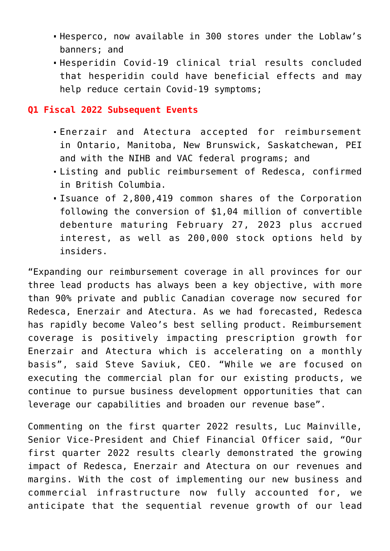- Hesperco, now available in 300 stores under the Loblaw's banners; and
- Hesperidin Covid-19 clinical trial results concluded that hesperidin could have beneficial effects and may help reduce certain Covid-19 symptoms;

## **Q1 Fiscal 2022 Subsequent Events**

- Enerzair and Atectura accepted for reimbursement in Ontario, Manitoba, New Brunswick, Saskatchewan, PEI and with the NIHB and VAC federal programs; and
- Listing and public reimbursement of Redesca, confirmed in British Columbia.
- Isuance of 2,800,419 common shares of the Corporation following the conversion of \$1,04 million of convertible debenture maturing February 27, 2023 plus accrued interest, as well as 200,000 stock options held by insiders.

"Expanding our reimbursement coverage in all provinces for our three lead products has always been a key objective, with more than 90% private and public Canadian coverage now secured for Redesca, Enerzair and Atectura. As we had forecasted, Redesca has rapidly become Valeo's best selling product. Reimbursement coverage is positively impacting prescription growth for Enerzair and Atectura which is accelerating on a monthly basis", said Steve Saviuk, CEO. "While we are focused on executing the commercial plan for our existing products, we continue to pursue business development opportunities that can leverage our capabilities and broaden our revenue base".

Commenting on the first quarter 2022 results, Luc Mainville, Senior Vice-President and Chief Financial Officer said, "Our first quarter 2022 results clearly demonstrated the growing impact of Redesca, Enerzair and Atectura on our revenues and margins. With the cost of implementing our new business and commercial infrastructure now fully accounted for, we anticipate that the sequential revenue growth of our lead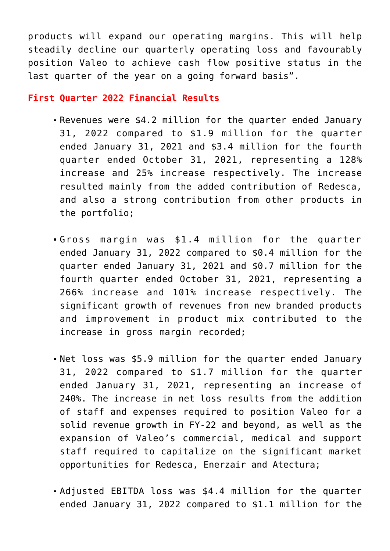products will expand our operating margins. This will help steadily decline our quarterly operating loss and favourably position Valeo to achieve cash flow positive status in the last quarter of the year on a going forward basis".

## **First Quarter 2022 Financial Results**

- Revenues were \$4.2 million for the quarter ended January 31, 2022 compared to \$1.9 million for the quarter ended January 31, 2021 and \$3.4 million for the fourth quarter ended October 31, 2021, representing a 128% increase and 25% increase respectively. The increase resulted mainly from the added contribution of Redesca, and also a strong contribution from other products in the portfolio;
- Gross margin was \$1.4 million for the quarter ended January 31, 2022 compared to \$0.4 million for the quarter ended January 31, 2021 and \$0.7 million for the fourth quarter ended October 31, 2021, representing a 266% increase and 101% increase respectively. The significant growth of revenues from new branded products and improvement in product mix contributed to the increase in gross margin recorded;
- Net loss was \$5.9 million for the quarter ended January 31, 2022 compared to \$1.7 million for the quarter ended January 31, 2021, representing an increase of 240%. The increase in net loss results from the addition of staff and expenses required to position Valeo for a solid revenue growth in FY-22 and beyond, as well as the expansion of Valeo's commercial, medical and support staff required to capitalize on the significant market opportunities for Redesca, Enerzair and Atectura;
- Adjusted EBITDA loss was \$4.4 million for the quarter ended January 31, 2022 compared to \$1.1 million for the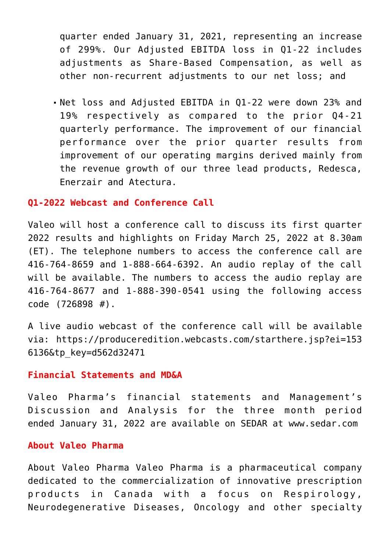quarter ended January 31, 2021, representing an increase of 299%. Our Adjusted EBITDA loss in Q1-22 includes adjustments as Share-Based Compensation, as well as other non-recurrent adjustments to our net loss; and

Net loss and Adjusted EBITDA in Q1-22 were down 23% and 19% respectively as compared to the prior Q4-21 quarterly performance. The improvement of our financial performance over the prior quarter results from improvement of our operating margins derived mainly from the revenue growth of our three lead products, Redesca, Enerzair and Atectura.

#### **Q1-2022 Webcast and Conference Call**

Valeo will host a conference call to discuss its first quarter 2022 results and highlights on Friday March 25, 2022 at 8.30am (ET). The telephone numbers to access the conference call are 416-764-8659 and 1-888-664-6392. An audio replay of the call will be available. The numbers to access the audio replay are 416-764-8677 and 1-888-390-0541 using the following access code (726898 #).

A live audio webcast of the conference call will be available via: [https://produceredition.webcasts.com/starthere.jsp?ei=153](https://c212.net/c/link/?t=0&l=en&o=3484036-1&h=3333338766&u=https%3A%2F%2Fprotect-us.mimecast.com%2Fs%2FNG0HCERVMGI3JrkIx0WWf%3Fdomain%3Dproduceredition.webcasts.com&a=https%3A%2F%2Fproduceredition.webcasts.com%2Fstarthere.jsp%3Fei%3D1536136%26tp_key%3Dd562d32471) [6136&tp\\_key=d562d32471](https://c212.net/c/link/?t=0&l=en&o=3484036-1&h=3333338766&u=https%3A%2F%2Fprotect-us.mimecast.com%2Fs%2FNG0HCERVMGI3JrkIx0WWf%3Fdomain%3Dproduceredition.webcasts.com&a=https%3A%2F%2Fproduceredition.webcasts.com%2Fstarthere.jsp%3Fei%3D1536136%26tp_key%3Dd562d32471)

#### **Financial Statements and MD&A**

Valeo Pharma's financial statements and Management's Discussion and Analysis for the three month period ended January 31, 2022 are available on SEDAR at [www.sedar.com](http://www.sedar.com/)

#### **About Valeo Pharma**

About Valeo Pharma Valeo Pharma is a pharmaceutical company dedicated to the commercialization of innovative prescription products in Canada with a focus on Respirology, Neurodegenerative Diseases, Oncology and other specialty